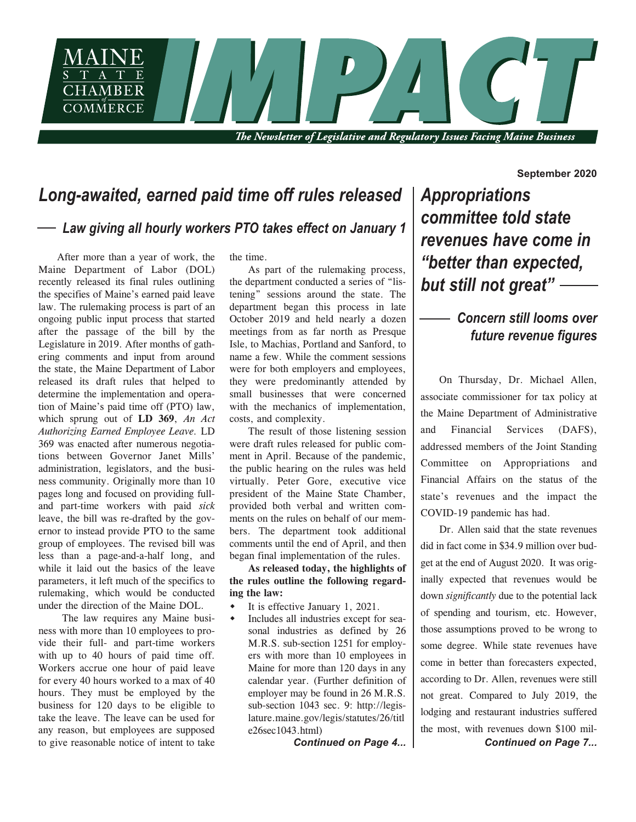

The Newsletter of Legislative and Regulatory Issues Facing Maine Business

## *Long-awaited, earned paid time off rules released*

#### *Law giving all hourly workers PTO takes effect on January 1*

After more than a year of work, the Maine Department of Labor (DOL) recently released its final rules outlining the specifies of Maine's earned paid leave law. The rulemaking process is part of an ongoing public input process that started after the passage of the bill by the Legislature in 2019. After months of gathering comments and input from around the state, the Maine Department of Labor released its draft rules that helped to determine the implementation and operation of Maine's paid time off (PTO) law, which sprung out of **LD 369**, *An Act Authorizing Earned Employee Leave.* LD 369 was enacted after numerous negotiations between Governor Janet Mills' administration, legislators, and the business community. Originally more than 10 pages long and focused on providing fulland part-time workers with paid *sick* leave, the bill was re-drafted by the governor to instead provide PTO to the same group of employees. The revised bill was less than a page-and-a-half long, and while it laid out the basics of the leave parameters, it left much of the specifics to rulemaking, which would be conducted under the direction of the Maine DOL.

The law requires any Maine business with more than 10 employees to provide their full- and part-time workers with up to 40 hours of paid time off. Workers accrue one hour of paid leave for every 40 hours worked to a max of 40 hours. They must be employed by the business for 120 days to be eligible to take the leave. The leave can be used for any reason, but employees are supposed to give reasonable notice of intent to take the time.

As part of the rulemaking process, the department conducted a series of "listening" sessions around the state. The department began this process in late October 2019 and held nearly a dozen meetings from as far north as Presque Isle, to Machias, Portland and Sanford, to name a few. While the comment sessions were for both employers and employees, they were predominantly attended by small businesses that were concerned with the mechanics of implementation, costs, and complexity.

The result of those listening session were draft rules released for public comment in April. Because of the pandemic, the public hearing on the rules was held virtually. Peter Gore, executive vice president of the Maine State Chamber, provided both verbal and written comments on the rules on behalf of our members. The department took additional comments until the end of April, and then began final implementation of the rules.

**As released today, the highlights of the rules outline the following regarding the law:**

- $\bullet$  It is effective January 1, 2021.
- Includes all industries except for seasonal industries as defined by 26 M.R.S. sub-section 1251 for employers with more than 10 employees in Maine for more than 120 days in any calendar year. (Further definition of employer may be found in 26 M.R.S. sub-section 1043 sec. 9: http://legislature.maine.gov/legis/statutes/26/titl e26sec1043.html)

*Appropriations committee told state revenues have come in "better than expected, but still not great"*

## *Concern still looms over future revenue figures*

On Thursday, Dr. Michael Allen, associate commissioner for tax policy at the Maine Department of Administrative and Financial Services (DAFS), addressed members of the Joint Standing Committee on Appropriations and Financial Affairs on the status of the state's revenues and the impact the COVID-19 pandemic has had.

Dr. Allen said that the state revenues did in fact come in \$34.9 million over budget at the end of August 2020. It was originally expected that revenues would be down *significantly* due to the potential lack of spending and tourism, etc. However, those assumptions proved to be wrong to some degree. While state revenues have come in better than forecasters expected, according to Dr. Allen, revenues were still not great. Compared to July 2019, the lodging and restaurant industries suffered the most, with revenues down \$100 mil-*Continued on Page 4... Continued on Page 7...*

**September 2020**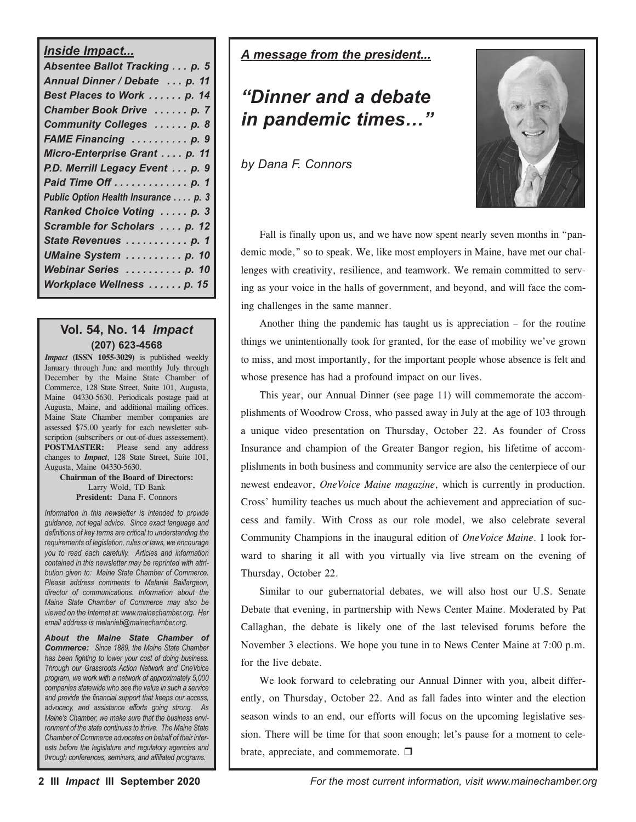#### *Inside Impact...*

| <i><b>IIISIUE IIIIµact…</b></i>      |
|--------------------------------------|
| Absentee Ballot Tracking p. 5        |
| Annual Dinner / Debate  p. 11        |
| Best Places to Work  p. 14           |
| Chamber Book Drive  p. 7             |
| Community Colleges  p. 8             |
| FAME Financing p. 9                  |
| Micro-Enterprise Grant  p. 11        |
| P.D. Merrill Legacy Event p. 9       |
| Paid Time Off p. 1                   |
| Public Option Health Insurance  p. 3 |
| Ranked Choice Voting  p. 3           |
| Scramble for Scholars  p. 12         |
| State Revenues  p. 1                 |
| UMaine System  p. 10                 |
| Webinar Series  p. 10                |
| Workplace Wellness  p. 15            |
|                                      |

#### **Vol. 54, No. 14** *Impact* **(207) 623-4568**

*Impact* **(ISSN 1055-3029)** is published weekly January through June and monthly July through December by the Maine State Chamber of Commerce, 128 State Street, Suite 101, Augusta, Maine 04330-5630. Periodicals postage paid at Augusta, Maine, and additional mailing offices. Maine State Chamber member companies are assessed \$75.00 yearly for each newsletter subscription (subscribers or out-of-dues assessement). **POSTMASTER:** Please send any address changes to *Impact*, 128 State Street, Suite 101, Augusta, Maine 04330-5630.

**Chairman of the Board of Directors:** Larry Wold, TD Bank **President:** Dana F. Connors

*Information in this newsletter is intended to provide guidance, not legal advice. Since exact language and definitions of key terms are critical to understanding the requirements of legislation, rules or laws, we encourage you to read each carefully. Articles and information contained in this newsletter may be reprinted with attribution given to: Maine State Chamber of Commerce. Please address comments to Melanie Baillargeon, director of communications. Information about the Maine State Chamber of Commerce may also be viewed on the Internet at: www.mainechamber.org. Her email address is melanieb@mainechamber.org.*

*About the Maine State Chamber of Commerce: Since 1889, the Maine State Chamber has been fighting to lower your cost of doing business. Through our Grassroots Action Network and OneVoice program, we work with a network of approximately 5,000 companies statewide who see the value in such a service and provide the financial support that keeps our access, advocacy, and assistance efforts going strong. As Maine's Chamber, we make sure that the business environment of the state continues to thrive. The Maine State Chamber of Commerce advocates on behalf of their interests before the legislature and regulatory agencies and through conferences, seminars, and affiliated programs.*

*A message from the president...*

## *"Dinner and a debate in pandemic times…"*

*by Dana F. Connors*



Fall is finally upon us, and we have now spent nearly seven months in "pandemic mode," so to speak. We, like most employers in Maine, have met our challenges with creativity, resilience, and teamwork. We remain committed to serving as your voice in the halls of government, and beyond, and will face the coming challenges in the same manner.

Another thing the pandemic has taught us is appreciation – for the routine things we unintentionally took for granted, for the ease of mobility we've grown to miss, and most importantly, for the important people whose absence is felt and whose presence has had a profound impact on our lives.

This year, our Annual Dinner (see page 11) will commemorate the accomplishments of Woodrow Cross, who passed away in July at the age of 103 through a unique video presentation on Thursday, October 22. As founder of Cross Insurance and champion of the Greater Bangor region, his lifetime of accomplishments in both business and community service are also the centerpiece of our newest endeavor, *OneVoice Maine magazine*, which is currently in production. Cross' humility teaches us much about the achievement and appreciation of success and family. With Cross as our role model, we also celebrate several Community Champions in the inaugural edition of *OneVoice Maine*. I look forward to sharing it all with you virtually via live stream on the evening of Thursday, October 22.

Similar to our gubernatorial debates, we will also host our U.S. Senate Debate that evening, in partnership with News Center Maine. Moderated by Pat Callaghan, the debate is likely one of the last televised forums before the November 3 elections. We hope you tune in to News Center Maine at 7:00 p.m. for the live debate.

We look forward to celebrating our Annual Dinner with you, albeit differently, on Thursday, October 22. And as fall fades into winter and the election season winds to an end, our efforts will focus on the upcoming legislative session. There will be time for that soon enough; let's pause for a moment to celebrate, appreciate, and commemorate.  $\Box$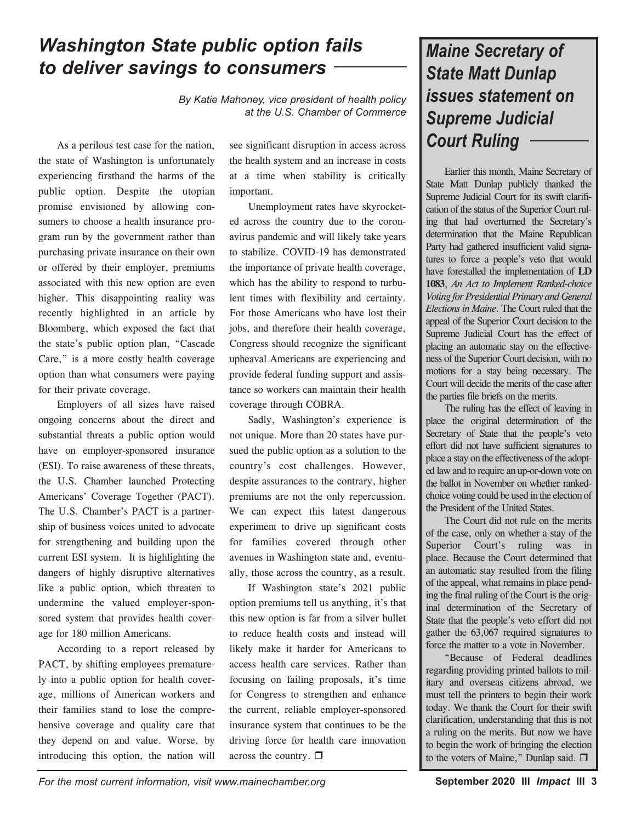## *Washington State public option fails to deliver savings to consumers*

*By Katie Mahoney, vice president of health policy at the U.S. Chamber of Commerce*

As a perilous test case for the nation, the state of Washington is unfortunately experiencing firsthand the harms of the public option. Despite the utopian promise envisioned by allowing consumers to choose a health insurance program run by the government rather than purchasing private insurance on their own or offered by their employer, premiums associated with this new option are even higher. This disappointing reality was recently highlighted in an article by Bloomberg, which exposed the fact that the state's public option plan, "Cascade Care," is a more costly health coverage option than what consumers were paying for their private coverage.

Employers of all sizes have raised ongoing concerns about the direct and substantial threats a public option would have on employer-sponsored insurance (ESI). To raise awareness of these threats, the U.S. Chamber launched Protecting Americans' Coverage Together (PACT). The U.S. Chamber's PACT is a partnership of business voices united to advocate for strengthening and building upon the current ESI system. It is highlighting the dangers of highly disruptive alternatives like a public option, which threaten to undermine the valued employer-sponsored system that provides health coverage for 180 million Americans.

According to a report released by PACT, by shifting employees prematurely into a public option for health coverage, millions of American workers and their families stand to lose the comprehensive coverage and quality care that they depend on and value. Worse, by introducing this option, the nation will see significant disruption in access across the health system and an increase in costs at a time when stability is critically important.

Unemployment rates have skyrocketed across the country due to the coronavirus pandemic and will likely take years to stabilize. COVID-19 has demonstrated the importance of private health coverage, which has the ability to respond to turbulent times with flexibility and certainty. For those Americans who have lost their jobs, and therefore their health coverage, Congress should recognize the significant upheaval Americans are experiencing and provide federal funding support and assistance so workers can maintain their health coverage through COBRA.

Sadly, Washington's experience is not unique. More than 20 states have pursued the public option as a solution to the country's cost challenges. However, despite assurances to the contrary, higher premiums are not the only repercussion. We can expect this latest dangerous experiment to drive up significant costs for families covered through other avenues in Washington state and, eventually, those across the country, as a result.

If Washington state's 2021 public option premiums tell us anything, it's that this new option is far from a silver bullet to reduce health costs and instead will likely make it harder for Americans to access health care services. Rather than focusing on failing proposals, it's time for Congress to strengthen and enhance the current, reliable employer-sponsored insurance system that continues to be the driving force for health care innovation across the country.  $\Box$ 

## *Maine Secretary of State Matt Dunlap issues statement on Supreme Judicial Court Ruling*

Earlier this month, Maine Secretary of State Matt Dunlap publicly thanked the Supreme Judicial Court for its swift clarification of the status of the Superior Court ruling that had overturned the Secretary's determination that the Maine Republican Party had gathered insufficient valid signatures to force a people's veto that would have forestalled the implementation of **LD 1083**, *An Act to Implement Ranked-choice Voting for Presidential Primary and General Elections in Maine*. The Court ruled that the appeal of the Superior Court decision to the Supreme Judicial Court has the effect of placing an automatic stay on the effectiveness of the Superior Court decision, with no motions for a stay being necessary. The Court will decide the merits of the case after the parties file briefs on the merits.

The ruling has the effect of leaving in place the original determination of the Secretary of State that the people's veto effort did not have sufficient signatures to place a stay on the effectiveness of the adopted law and to require an up-or-down vote on the ballot in November on whether rankedchoice voting could be used in the election of the President of the United States.

The Court did not rule on the merits of the case, only on whether a stay of the Superior Court's ruling was in place. Because the Court determined that an automatic stay resulted from the filing of the appeal, what remains in place pending the final ruling of the Court is the original determination of the Secretary of State that the people's veto effort did not gather the 63,067 required signatures to force the matter to a vote in November.

"Because of Federal deadlines regarding providing printed ballots to military and overseas citizens abroad, we must tell the printers to begin their work today. We thank the Court for their swift clarification, understanding that this is not a ruling on the merits. But now we have to begin the work of bringing the election to the voters of Maine," Dunlap said.  $\Box$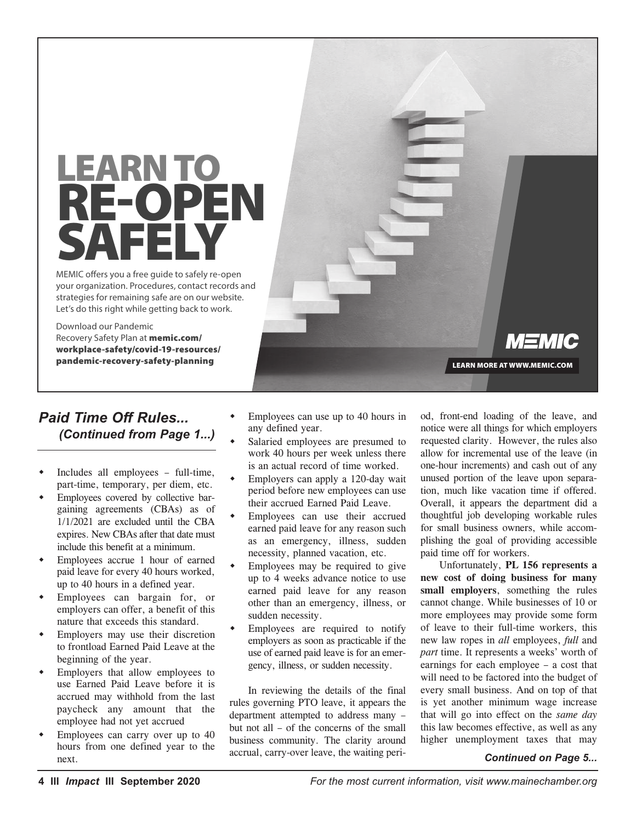## **LEARN TO RE-OPEN SAFELY**

MEMIC offers you a free guide to safely re-open your organization. Procedures, contact records and strategies for remaining safe are on our website. Let's do this right while getting back to work.

Download our Pandemic Recovery Safety Plan at **memic.com/ workplace-safety/covid-19-resources/ pandemic-recovery-safety-planning**

## *Paid Time Off Rules... (Continued from Page 1...)*

- Includes all employees full-time, part-time, temporary, per diem, etc.
- Employees covered by collective bargaining agreements (CBAs) as of 1/1/2021 are excluded until the CBA expires. New CBAs after that date must include this benefit at a minimum.
- Employees accrue 1 hour of earned paid leave for every 40 hours worked, up to 40 hours in a defined year.
- Employees can bargain for, or employers can offer, a benefit of this nature that exceeds this standard.
- Employers may use their discretion to frontload Earned Paid Leave at the beginning of the year.
- Employers that allow employees to use Earned Paid Leave before it is accrued may withhold from the last paycheck any amount that the employee had not yet accrued
- Employees can carry over up to 40 hours from one defined year to the next.
- Employees can use up to 40 hours in any defined year.
- Salaried employees are presumed to work 40 hours per week unless there is an actual record of time worked.
- Employers can apply a 120-day wait period before new employees can use their accrued Earned Paid Leave.
- Employees can use their accrued earned paid leave for any reason such as an emergency, illness, sudden necessity, planned vacation, etc.
- Employees may be required to give up to 4 weeks advance notice to use earned paid leave for any reason other than an emergency, illness, or sudden necessity.
- Employees are required to notify employers as soon as practicable if the use of earned paid leave is for an emergency, illness, or sudden necessity.

In reviewing the details of the final rules governing PTO leave, it appears the department attempted to address many – but not all – of the concerns of the small business community. The clarity around accrual, carry-over leave, the waiting period, front-end loading of the leave, and notice were all things for which employers requested clarity. However, the rules also allow for incremental use of the leave (in one-hour increments) and cash out of any unused portion of the leave upon separation, much like vacation time if offered. Overall, it appears the department did a thoughtful job developing workable rules for small business owners, while accomplishing the goal of providing accessible paid time off for workers.

**LEARN MORE AT WWW.MEMIC.COM**

MEMIC

Unfortunately, **PL 156 represents a new cost of doing business for many small employers**, something the rules cannot change. While businesses of 10 or more employees may provide some form of leave to their full-time workers, this new law ropes in *all* employees, *full* and *part* time. It represents a weeks' worth of earnings for each employee – a cost that will need to be factored into the budget of every small business. And on top of that is yet another minimum wage increase that will go into effect on the *same day* this law becomes effective, as well as any higher unemployment taxes that may

#### *Continued on Page 5...*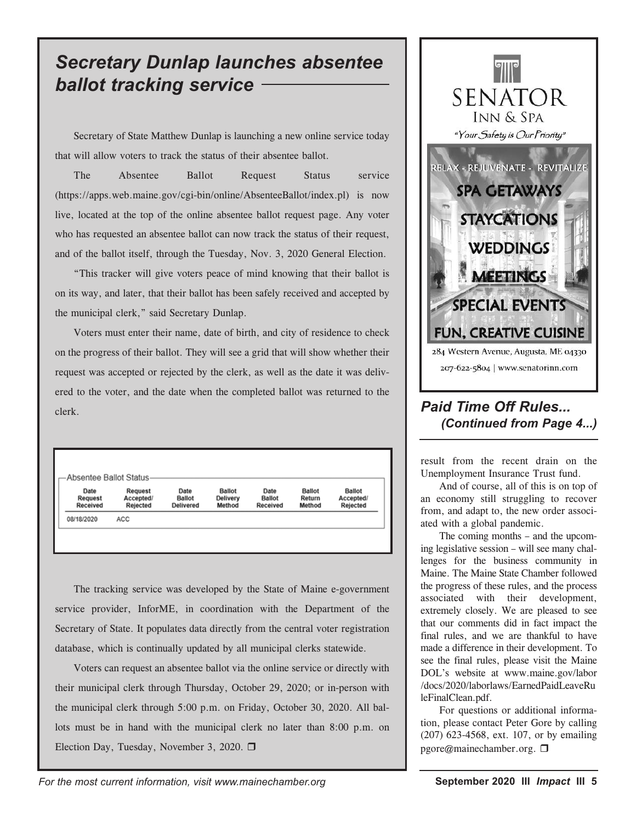## *Secretary Dunlap launches absentee ballot tracking service*

Secretary of State Matthew Dunlap is launching a new online service today that will allow voters to track the status of their absentee ballot.

The Absentee Ballot Request Status service (https://apps.web.maine.gov/cgi-bin/online/AbsenteeBallot/index.pl) is now live, located at the top of the online absentee ballot request page. Any voter who has requested an absentee ballot can now track the status of their request, and of the ballot itself, through the Tuesday, Nov. 3, 2020 General Election.

"This tracker will give voters peace of mind knowing that their ballot is on its way, and later, that their ballot has been safely received and accepted by the municipal clerk," said Secretary Dunlap.

Voters must enter their name, date of birth, and city of residence to check on the progress of their ballot. They will see a grid that will show whether their request was accepted or rejected by the clerk, as well as the date it was delivered to the voter, and the date when the completed ballot was returned to the clerk.

| Absentee Ballot Status-            |                                  |                                           |                              |                                   |                            |                                 |  |
|------------------------------------|----------------------------------|-------------------------------------------|------------------------------|-----------------------------------|----------------------------|---------------------------------|--|
| Date<br>Request<br><b>Received</b> | Request<br>Accepted/<br>Rejected | Date<br><b>Ballot</b><br><b>Delivered</b> | Ballot<br>Delivery<br>Method | Date<br><b>Ballot</b><br>Received | Ballot<br>Return<br>Method | Ballot<br>Accepted/<br>Rejected |  |
| 08/18/2020                         | ACC                              |                                           |                              |                                   |                            |                                 |  |

The tracking service was developed by the State of Maine e-government service provider, InforME, in coordination with the Department of the Secretary of State. It populates data directly from the central voter registration database, which is continually updated by all municipal clerks statewide.

Voters can request an absentee ballot via the online service or directly with their municipal clerk through Thursday, October 29, 2020; or in-person with the municipal clerk through 5:00 p.m. on Friday, October 30, 2020. All ballots must be in hand with the municipal clerk no later than 8:00 p.m. on Election Day, Tuesday, November 3, 2020.  $\Box$ 



## *Paid Time Off Rules... (Continued from Page 4...)*

result from the recent drain on the Unemployment Insurance Trust fund.

And of course, all of this is on top of an economy still struggling to recover from, and adapt to, the new order associated with a global pandemic.

The coming months – and the upcoming legislative session – will see many challenges for the business community in Maine. The Maine State Chamber followed the progress of these rules, and the process associated with their development, extremely closely. We are pleased to see that our comments did in fact impact the final rules, and we are thankful to have made a difference in their development. To see the final rules, please visit the Maine DOL's website at www.maine.gov/labor /docs/2020/laborlaws/EarnedPaidLeaveRu leFinalClean.pdf.

For questions or additional information, please contact Peter Gore by calling (207) 623-4568, ext. 107, or by emailing pgore@mainechamber.org.  $\square$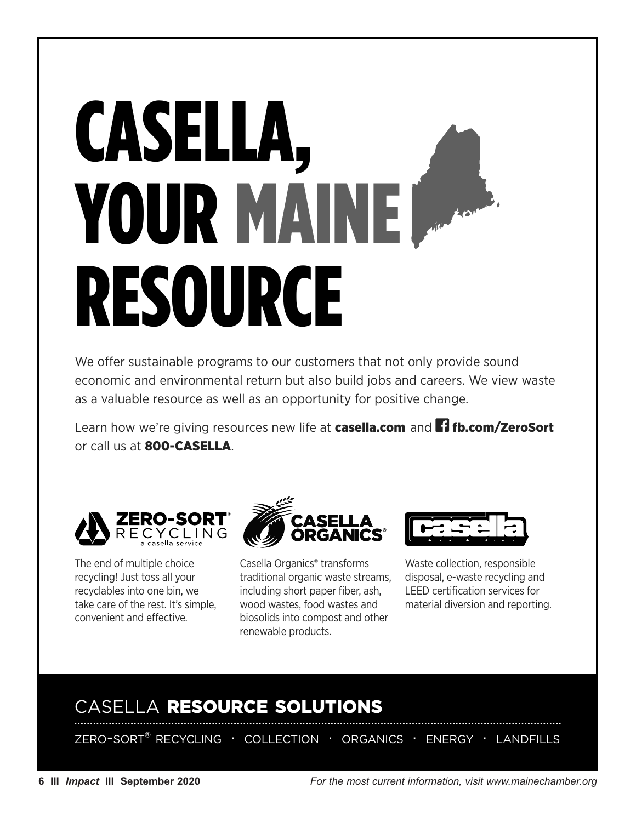# **CASELLA, YOUR MAINE RESOURCE**

We offer sustainable programs to our customers that not only provide sound economic and environmental return but also build jobs and careers. We view waste as a valuable resource as well as an opportunity for positive change.

Learn how we're giving resources new life at **casella.com** and **fb.com/ZeroSort** or call us at **800-CASELLA**.



The end of multiple choice recycling! Just toss all your recyclables into one bin, we take care of the rest. It's simple, convenient and effective.



Casella Organics® transforms traditional organic waste streams, including short paper fiber, ash, wood wastes, food wastes and biosolids into compost and other renewable products.



Waste collection, responsible disposal, e-waste recycling and LEED certification services for material diversion and reporting.

## CASELLA **RESOURCE SOLUTIONS**

ZERO-SORT® RECYCLING · COLLECTION · ORGANICS · ENERGY · LANDFILLS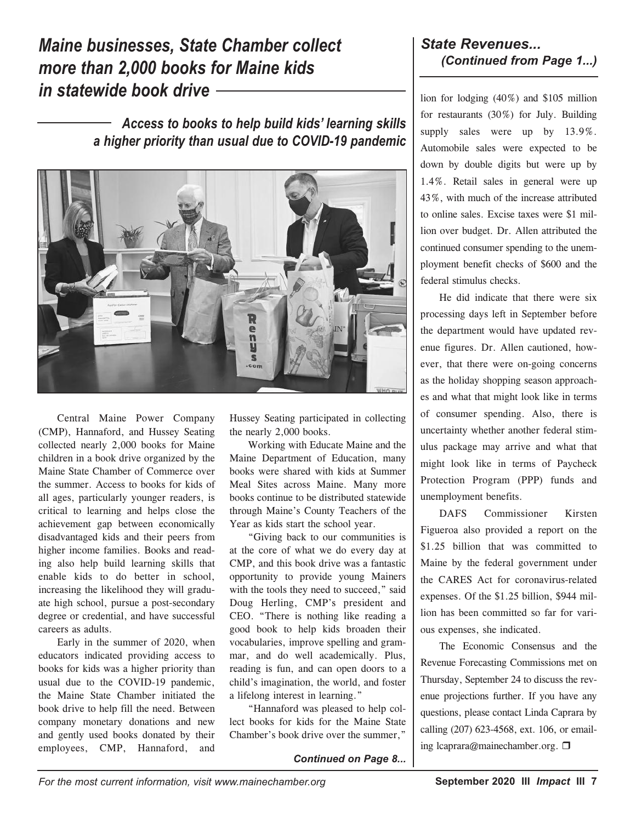## *Maine businesses, State Chamber collect more than 2,000 books for Maine kids in statewide book drive*

*Access to books to help build kids' learning skills a higher priority than usual due to COVID-19 pandemic*



Central Maine Power Company (CMP), Hannaford, and Hussey Seating collected nearly 2,000 books for Maine children in a book drive organized by the Maine State Chamber of Commerce over the summer. Access to books for kids of all ages, particularly younger readers, is critical to learning and helps close the achievement gap between economically disadvantaged kids and their peers from higher income families. Books and reading also help build learning skills that enable kids to do better in school, increasing the likelihood they will graduate high school, pursue a post-secondary degree or credential, and have successful careers as adults.

Early in the summer of 2020, when educators indicated providing access to books for kids was a higher priority than usual due to the COVID-19 pandemic, the Maine State Chamber initiated the book drive to help fill the need. Between company monetary donations and new and gently used books donated by their employees, CMP, Hannaford, and

Hussey Seating participated in collecting the nearly 2,000 books.

Working with Educate Maine and the Maine Department of Education, many books were shared with kids at Summer Meal Sites across Maine. Many more books continue to be distributed statewide through Maine's County Teachers of the Year as kids start the school year.

"Giving back to our communities is at the core of what we do every day at CMP, and this book drive was a fantastic opportunity to provide young Mainers with the tools they need to succeed," said Doug Herling, CMP's president and CEO. "There is nothing like reading a good book to help kids broaden their vocabularies, improve spelling and grammar, and do well academically. Plus, reading is fun, and can open doors to a child's imagination, the world, and foster a lifelong interest in learning."

"Hannaford was pleased to help collect books for kids for the Maine State Chamber's book drive over the summer,"

*Continued on Page 8...*

#### *State Revenues... (Continued from Page 1...)*

lion for lodging (40%) and \$105 million for restaurants (30%) for July. Building supply sales were up by 13.9%. Automobile sales were expected to be down by double digits but were up by 1.4%. Retail sales in general were up 43%, with much of the increase attributed to online sales. Excise taxes were \$1 million over budget. Dr. Allen attributed the continued consumer spending to the unemployment benefit checks of \$600 and the federal stimulus checks.

He did indicate that there were six processing days left in September before the department would have updated revenue figures. Dr. Allen cautioned, however, that there were on-going concerns as the holiday shopping season approaches and what that might look like in terms of consumer spending. Also, there is uncertainty whether another federal stimulus package may arrive and what that might look like in terms of Paycheck Protection Program (PPP) funds and unemployment benefits.

DAFS Commissioner Kirsten Figueroa also provided a report on the \$1.25 billion that was committed to Maine by the federal government under the CARES Act for coronavirus-related expenses. Of the \$1.25 billion, \$944 million has been committed so far for various expenses, she indicated.

The Economic Consensus and the Revenue Forecasting Commissions met on Thursday, September 24 to discuss the revenue projections further. If you have any questions, please contact Linda Caprara by calling (207) 623-4568, ext. 106, or emailing lcaprara@mainechamber.org.  $\Box$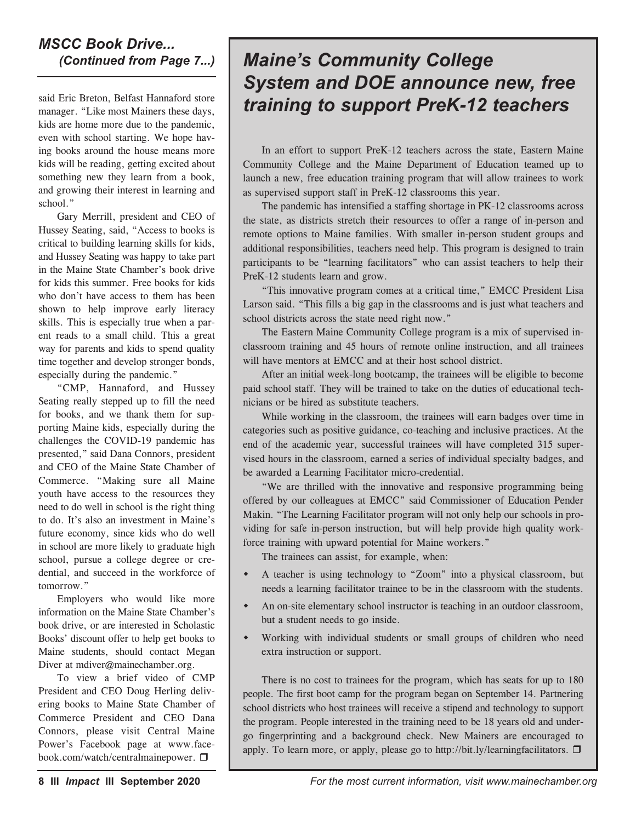#### *MSCC Book Drive... (Continued from Page 7...)*

said Eric Breton, Belfast Hannaford store manager. "Like most Mainers these days, kids are home more due to the pandemic, even with school starting. We hope having books around the house means more kids will be reading, getting excited about something new they learn from a book, and growing their interest in learning and school."

Gary Merrill, president and CEO of Hussey Seating, said, "Access to books is critical to building learning skills for kids, and Hussey Seating was happy to take part in the Maine State Chamber's book drive for kids this summer. Free books for kids who don't have access to them has been shown to help improve early literacy skills. This is especially true when a parent reads to a small child. This a great way for parents and kids to spend quality time together and develop stronger bonds, especially during the pandemic."

"CMP, Hannaford, and Hussey Seating really stepped up to fill the need for books, and we thank them for supporting Maine kids, especially during the challenges the COVID-19 pandemic has presented," said Dana Connors, president and CEO of the Maine State Chamber of Commerce. "Making sure all Maine youth have access to the resources they need to do well in school is the right thing to do. It's also an investment in Maine's future economy, since kids who do well in school are more likely to graduate high school, pursue a college degree or credential, and succeed in the workforce of tomorrow."

Employers who would like more information on the Maine State Chamber's book drive, or are interested in Scholastic Books' discount offer to help get books to Maine students, should contact Megan Diver at mdiver@mainechamber.org.

To view a brief video of CMP President and CEO Doug Herling delivering books to Maine State Chamber of Commerce President and CEO Dana Connors, please visit Central Maine Power's Facebook page at www.facebook.com/watch/centralmainepower.  $\square$ 

## *Maine's Community College System and DOE announce new, free training to support PreK-12 teachers*

In an effort to support PreK-12 teachers across the state, Eastern Maine Community College and the Maine Department of Education teamed up to launch a new, free education training program that will allow trainees to work as supervised support staff in PreK-12 classrooms this year.

The pandemic has intensified a staffing shortage in PK-12 classrooms across the state, as districts stretch their resources to offer a range of in-person and remote options to Maine families. With smaller in-person student groups and additional responsibilities, teachers need help. This program is designed to train participants to be "learning facilitators" who can assist teachers to help their PreK-12 students learn and grow.

"This innovative program comes at a critical time," EMCC President Lisa Larson said. "This fills a big gap in the classrooms and is just what teachers and school districts across the state need right now."

The Eastern Maine Community College program is a mix of supervised inclassroom training and 45 hours of remote online instruction, and all trainees will have mentors at EMCC and at their host school district.

After an initial week-long bootcamp, the trainees will be eligible to become paid school staff. They will be trained to take on the duties of educational technicians or be hired as substitute teachers.

While working in the classroom, the trainees will earn badges over time in categories such as positive guidance, co-teaching and inclusive practices. At the end of the academic year, successful trainees will have completed 315 supervised hours in the classroom, earned a series of individual specialty badges, and be awarded a Learning Facilitator micro-credential.

"We are thrilled with the innovative and responsive programming being offered by our colleagues at EMCC" said Commissioner of Education Pender Makin. "The Learning Facilitator program will not only help our schools in providing for safe in-person instruction, but will help provide high quality workforce training with upward potential for Maine workers."

The trainees can assist, for example, when:

- A teacher is using technology to "Zoom" into a physical classroom, but needs a learning facilitator trainee to be in the classroom with the students.
- An on-site elementary school instructor is teaching in an outdoor classroom, but a student needs to go inside.
- w Working with individual students or small groups of children who need extra instruction or support.

There is no cost to trainees for the program, which has seats for up to 180 people. The first boot camp for the program began on September 14. Partnering school districts who host trainees will receive a stipend and technology to support the program. People interested in the training need to be 18 years old and undergo fingerprinting and a background check. New Mainers are encouraged to apply. To learn more, or apply, please go to http://bit.ly/learningfacilitators.  $\Box$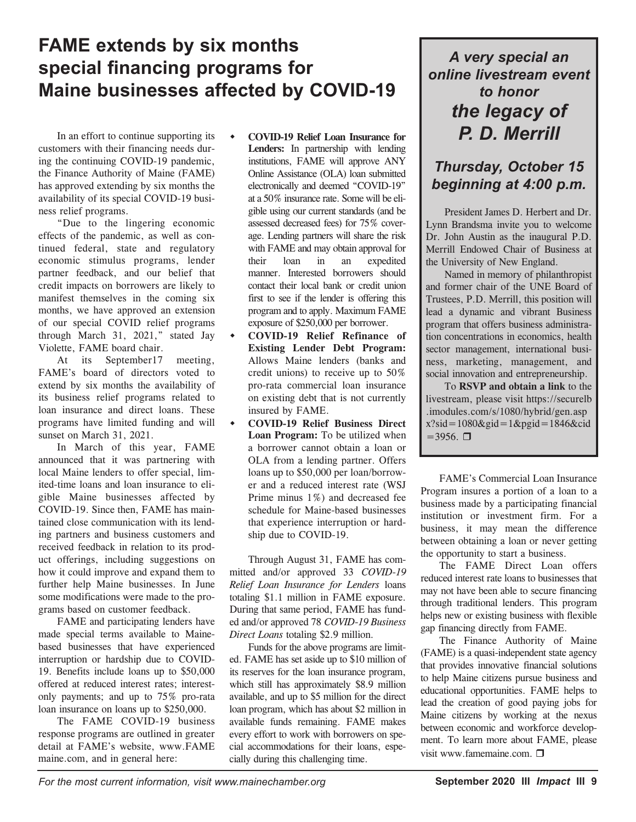## **FAME extends by six months special financing programs for Maine businesses affected by COVID-19**

In an effort to continue supporting its customers with their financing needs during the continuing COVID-19 pandemic, the Finance Authority of Maine (FAME) has approved extending by six months the availability of its special COVID-19 business relief programs.

"Due to the lingering economic effects of the pandemic, as well as continued federal, state and regulatory economic stimulus programs, lender partner feedback, and our belief that credit impacts on borrowers are likely to manifest themselves in the coming six months, we have approved an extension of our special COVID relief programs through March 31, 2021," stated Jay Violette, FAME board chair.

At its September17 meeting, FAME's board of directors voted to extend by six months the availability of its business relief programs related to loan insurance and direct loans. These programs have limited funding and will sunset on March 31, 2021.

In March of this year, FAME announced that it was partnering with local Maine lenders to offer special, limited-time loans and loan insurance to eligible Maine businesses affected by COVID-19. Since then, FAME has maintained close communication with its lending partners and business customers and received feedback in relation to its product offerings, including suggestions on how it could improve and expand them to further help Maine businesses. In June some modifications were made to the programs based on customer feedback.

FAME and participating lenders have made special terms available to Mainebased businesses that have experienced interruption or hardship due to COVID-19. Benefits include loans up to \$50,000 offered at reduced interest rates; interestonly payments; and up to 75% pro-rata loan insurance on loans up to \$250,000.

The FAME COVID-19 business response programs are outlined in greater detail at FAME's website, www.FAME maine.com, and in general here:

- w **COVID-19 Relief Loan Insurance for Lenders:** In partnership with lending institutions, FAME will approve ANY Online Assistance (OLA) loan submitted electronically and deemed "COVID-19" at a 50% insurance rate. Some will be eligible using our current standards (and be assessed decreased fees) for 75% coverage. Lending partners will share the risk with FAME and may obtain approval for their loan in an expedited manner. Interested borrowers should contact their local bank or credit union first to see if the lender is offering this program and to apply. Maximum FAME exposure of \$250,000 per borrower.
- w **COVID-19 Relief Refinance of Existing Lender Debt Program:** Allows Maine lenders (banks and credit unions) to receive up to 50% pro-rata commercial loan insurance on existing debt that is not currently insured by FAME.
- w **COVID-19 Relief Business Direct Loan Program:** To be utilized when a borrower cannot obtain a loan or OLA from a lending partner. Offers loans up to \$50,000 per loan/borrower and a reduced interest rate (WSJ Prime minus 1%) and decreased fee schedule for Maine-based businesses that experience interruption or hardship due to COVID-19.

Through August 31, FAME has committed and/or approved 33 *COVID-19 Relief Loan Insurance for Lenders* loans totaling \$1.1 million in FAME exposure. During that same period, FAME has funded and/or approved 78 *COVID-19 Business Direct Loans* totaling \$2.9 million.

Funds for the above programs are limited. FAME has set aside up to \$10 million of its reserves for the loan insurance program, which still has approximately \$8.9 million available, and up to \$5 million for the direct loan program, which has about \$2 million in available funds remaining. FAME makes every effort to work with borrowers on special accommodations for their loans, especially during this challenging time.

*A very special an online livestream event to honor the legacy of P. D. Merrill*

## *Thursday, October 15 beginning at 4:00 p.m.*

President James D. Herbert and Dr. Lynn Brandsma invite you to welcome Dr. John Austin as the inaugural P.D. Merrill Endowed Chair of Business at the University of New England.

Named in memory of philanthropist and former chair of the UNE Board of Trustees, P.D. Merrill, this position will lead a dynamic and vibrant Business program that offers business administration concentrations in economics, health sector management, international business, marketing, management, and social innovation and entrepreneurship.

To **RSVP and obtain a link** to the livestream, please visit https://securelb .imodules.com/s/1080/hybrid/gen.asp  $x$ ?sid=1080&gid=1&pgid=1846&cid  $=$ 3956.  $\Box$ 

FAME's Commercial Loan Insurance Program insures a portion of a loan to a business made by a participating financial institution or investment firm. For a business, it may mean the difference between obtaining a loan or never getting the opportunity to start a business.

The FAME Direct Loan offers reduced interest rate loans to businesses that may not have been able to secure financing through traditional lenders. This program helps new or existing business with flexible gap financing directly from FAME.

The Finance Authority of Maine (FAME) is a quasi-independent state agency that provides innovative financial solutions to help Maine citizens pursue business and educational opportunities. FAME helps to lead the creation of good paying jobs for Maine citizens by working at the nexus between economic and workforce development. To learn more about FAME, please visit www.famemaine.com.  $\Box$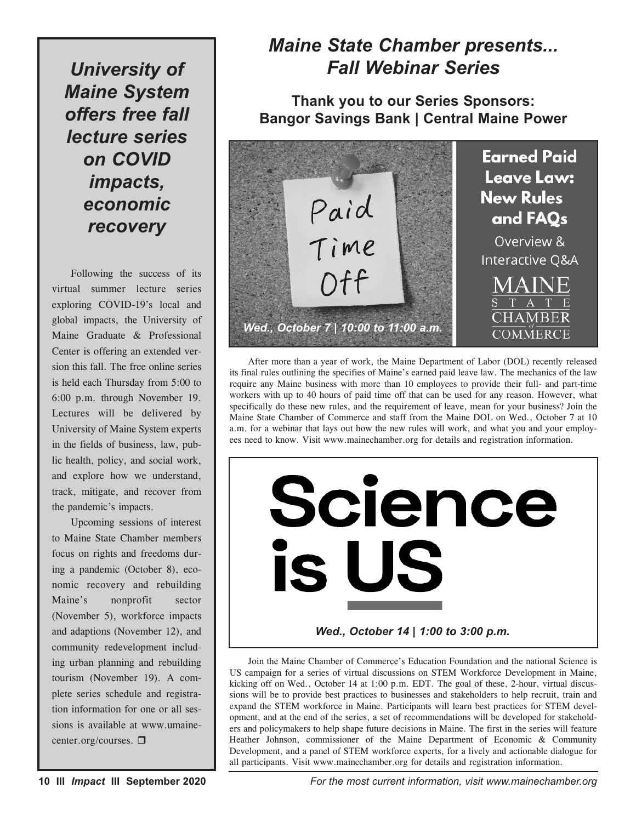*University of Maine System offers free fall lecture series on COVID impacts, economic recovery*

Following the success of its virtual summer lecture series exploring COVID-19's local and global impacts, the University of Maine Graduate & Professional Center is offering an extended version this fall. The free online series is held each Thursday from 5:00 to 6:00 p.m. through November 19. Lectures will be delivered by University of Maine System experts in the fields of business, law, public health, policy, and social work, and explore how we understand, track, mitigate, and recover from the pandemic's impacts.

Upcoming sessions of interest to Maine State Chamber members focus on rights and freedoms during a pandemic (October 8), economic recovery and rebuilding Maine's nonprofit sector (November 5), workforce impacts and adaptions (November 12), and community redevelopment including urban planning and rebuilding tourism (November 19). A complete series schedule and registration information for one or all sessions is available at www.umainecenter.org/courses.  $\Box$ 

## *Maine State Chamber presents... Fall Webinar Series*

**Thank you to our Series Sponsors: Bangor Savings Bank | Central Maine Power**



After more than a year of work, the Maine Department of Labor (DOL) recently released its final rules outlining the specifies of Maine's earned paid leave law. The mechanics of the law require any Maine business with more than 10 employees to provide their full- and part-time workers with up to 40 hours of paid time off that can be used for any reason. However, what specifically do these new rules, and the requirement of leave, mean for your business? Join the Maine State Chamber of Commerce and staff from the Maine DOL on Wed., October 7 at 10 a.m. for a webinar that lays out how the new rules will work, and what you and your employees need to know. Visit www.mainechamber.org for details and registration information.



Join the Maine Chamber of Commerce's Education Foundation and the national Science is US campaign for a series of virtual discussions on STEM Workforce Development in Maine, kicking off on Wed., October 14 at 1:00 p.m. EDT. The goal of these, 2-hour, virtual discussions will be to provide best practices to businesses and stakeholders to help recruit, train and expand the STEM workforce in Maine. Participants will learn best practices for STEM development, and at the end of the series, a set of recommendations will be developed for stakeholders and policymakers to help shape future decisions in Maine. The first in the series will feature Heather Johnson, commissioner of the Maine Department of Economic & Community Development, and a panel of STEM workforce experts, for a lively and actionable dialogue for all participants. Visit www.mainechamber.org for details and registration information.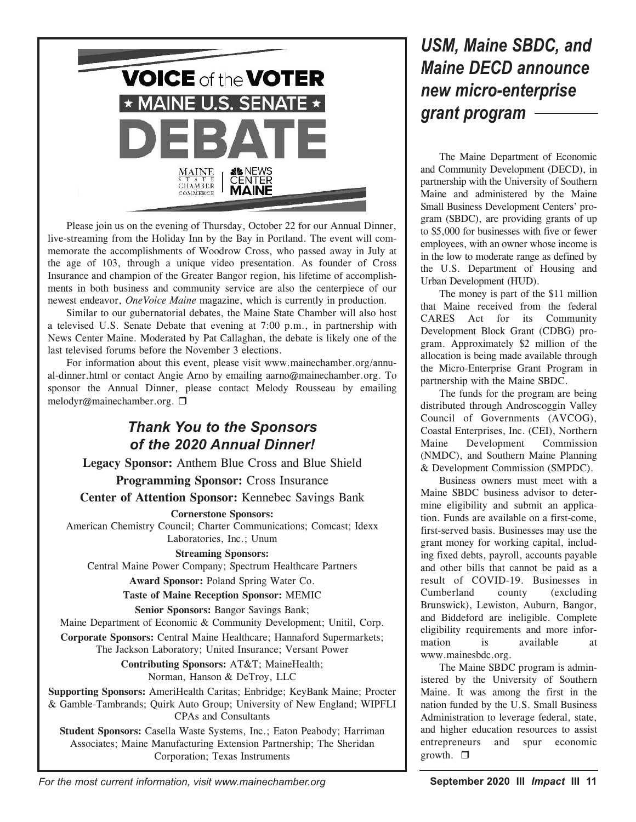

Please join us on the evening of Thursday, October 22 for our Annual Dinner, live-streaming from the Holiday Inn by the Bay in Portland. The event will commemorate the accomplishments of Woodrow Cross, who passed away in July at the age of 103, through a unique video presentation. As founder of Cross Insurance and champion of the Greater Bangor region, his lifetime of accomplishments in both business and community service are also the centerpiece of our newest endeavor, *OneVoice Maine* magazine, which is currently in production.

Similar to our gubernatorial debates, the Maine State Chamber will also host a televised U.S. Senate Debate that evening at 7:00 p.m., in partnership with News Center Maine. Moderated by Pat Callaghan, the debate is likely one of the last televised forums before the November 3 elections.

For information about this event, please visit www.mainechamber.org/annual-dinner.html or contact Angie Arno by emailing aarno@mainechamber.org. To sponsor the Annual Dinner, please contact Melody Rousseau by emailing melodyr@mainechamber.org.  $\Box$ 

## *Thank You to the Sponsors of the 2020 Annual Dinner!*

**Legacy Sponsor:** Anthem Blue Cross and Blue Shield **Programming Sponsor:** Cross Insurance

#### **Center of Attention Sponsor:** Kennebec Savings Bank

**Cornerstone Sponsors:**

American Chemistry Council; Charter Communications; Comcast; Idexx Laboratories, Inc.; Unum

**Streaming Sponsors:**

Central Maine Power Company; Spectrum Healthcare Partners

**Award Sponsor:** Poland Spring Water Co.

**Taste of Maine Reception Sponsor:** MEMIC

**Senior Sponsors:** Bangor Savings Bank;

Maine Department of Economic & Community Development; Unitil, Corp.

**Corporate Sponsors:** Central Maine Healthcare; Hannaford Supermarkets;

The Jackson Laboratory; United Insurance; Versant Power **Contributing Sponsors:** AT&T; MaineHealth;

Norman, Hanson & DeTroy, LLC

**Supporting Sponsors:** AmeriHealth Caritas; Enbridge; KeyBank Maine; Procter & Gamble-Tambrands; Quirk Auto Group; University of New England; WIPFLI CPAs and Consultants

**Student Sponsors:** Casella Waste Systems, Inc.; Eaton Peabody; Harriman Associates; Maine Manufacturing Extension Partnership; The Sheridan Corporation; Texas Instruments

## *USM, Maine SBDC, and Maine DECD announce new micro-enterprise grant program*

The Maine Department of Economic and Community Development (DECD), in partnership with the University of Southern Maine and administered by the Maine Small Business Development Centers' program (SBDC), are providing grants of up to \$5,000 for businesses with five or fewer employees, with an owner whose income is in the low to moderate range as defined by the U.S. Department of Housing and Urban Development (HUD).

The money is part of the \$11 million that Maine received from the federal CARES Act for its Community Development Block Grant (CDBG) program. Approximately \$2 million of the allocation is being made available through the Micro-Enterprise Grant Program in partnership with the Maine SBDC.

The funds for the program are being distributed through Androscoggin Valley Council of Governments (AVCOG), Coastal Enterprises, Inc. (CEI), Northern Maine Development Commission (NMDC), and Southern Maine Planning & Development Commission (SMPDC).

Business owners must meet with a Maine SBDC business advisor to determine eligibility and submit an application. Funds are available on a first-come, first-served basis. Businesses may use the grant money for working capital, including fixed debts, payroll, accounts payable and other bills that cannot be paid as a result of COVID-19. Businesses in Cumberland county (excluding Brunswick), Lewiston, Auburn, Bangor, and Biddeford are ineligible. Complete eligibility requirements and more information is available at www.mainesbdc.org.

The Maine SBDC program is administered by the University of Southern Maine. It was among the first in the nation funded by the U.S. Small Business Administration to leverage federal, state, and higher education resources to assist entrepreneurs and spur economic growth.  $\Box$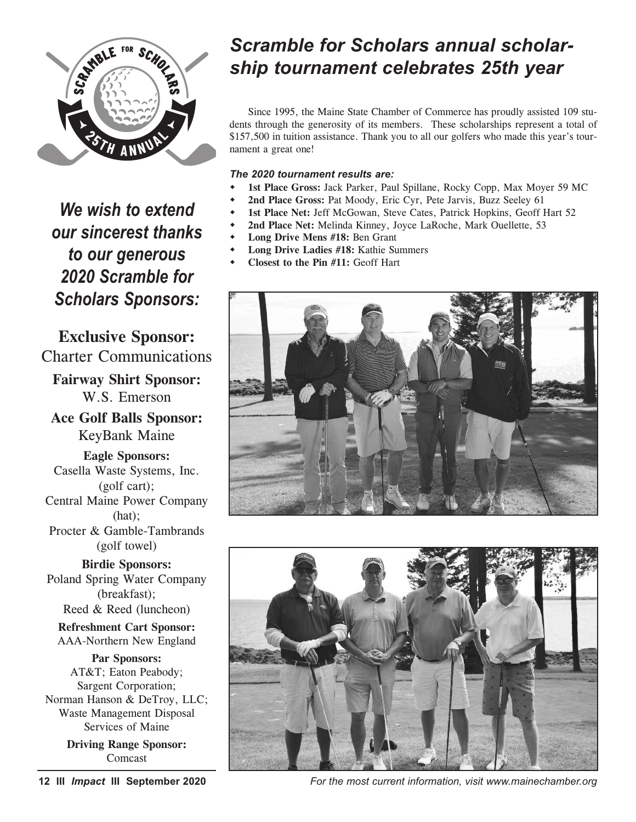

*We wish to extend our sincerest thanks to our generous 2020 Scramble for Scholars Sponsors:*

**Exclusive Sponsor:** Charter Communications

**Fairway Shirt Sponsor:** W.S. Emerson

**Ace Golf Balls Sponsor:** KeyBank Maine

**Eagle Sponsors:** Casella Waste Systems, Inc. (golf cart); Central Maine Power Company (hat); Procter & Gamble-Tambrands (golf towel)

**Birdie Sponsors:** Poland Spring Water Company (breakfast); Reed & Reed (luncheon)

**Refreshment Cart Sponsor:** AAA-Northern New England

**Par Sponsors:** AT&T; Eaton Peabody; Sargent Corporation; Norman Hanson & DeTroy, LLC; Waste Management Disposal Services of Maine

> **Driving Range Sponsor:** Comcast

## *Scramble for Scholars annual scholarship tournament celebrates 25th year*

Since 1995, the Maine State Chamber of Commerce has proudly assisted 109 students through the generosity of its members. These scholarships represent a total of \$157,500 in tuition assistance. Thank you to all our golfers who made this year's tournament a great one!

#### *The 2020 tournament results are:*

- 1st Place Gross: Jack Parker, Paul Spillane, Rocky Copp, Max Moyer 59 MC
- 2nd Place Gross: Pat Moody, Eric Cyr, Pete Jarvis, Buzz Seeley 61
- 1st Place Net: Jeff McGowan, Steve Cates, Patrick Hopkins, Geoff Hart 52
- 2nd Place Net: Melinda Kinney, Joyce LaRoche, Mark Ouellette, 53
- **Long Drive Mens #18:** Ben Grant
- Long Drive Ladies #18: Kathie Summers
- w **Closest to the Pin #11:** Geoff Hart





**12 III** *Impact* **III September 2020** *For the most current information, visit www.mainechamber.org*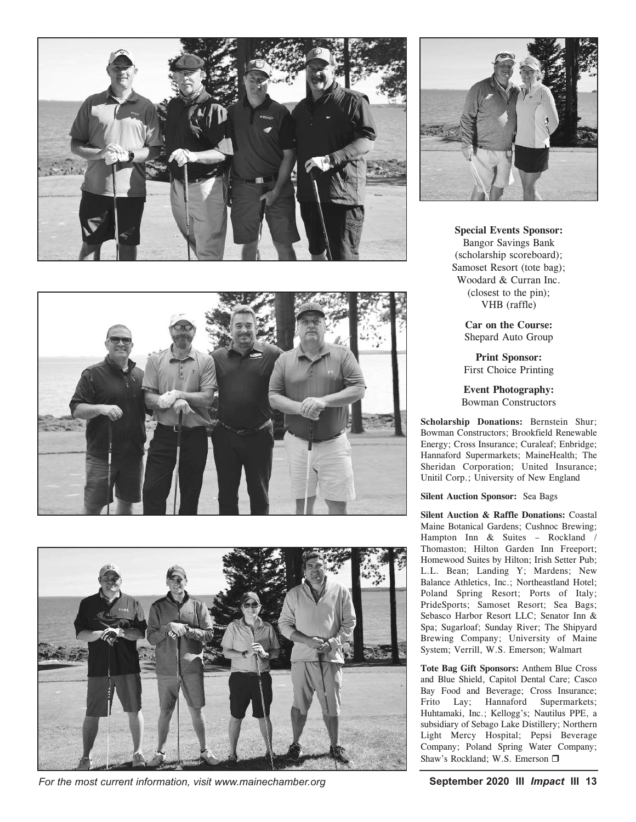





*For* the most current information, visit www.mainechamber.org **September 2020 III** *Impact* III 13



**Special Events Sponsor:** Bangor Savings Bank (scholarship scoreboard); Samoset Resort (tote bag); Woodard & Curran Inc. (closest to the pin); VHB (raffle)

> **Car on the Course:** Shepard Auto Group

**Print Sponsor:** First Choice Printing

**Event Photography:** Bowman Constructors

**Scholarship Donations:** Bernstein Shur; Bowman Constructors; Brookfield Renewable Energy; Cross Insurance; Curaleaf; Enbridge; Hannaford Supermarkets; MaineHealth; The Sheridan Corporation; United Insurance; Unitil Corp.; University of New England

**Silent Auction Sponsor:** Sea Bags

**Silent Auction & Raffle Donations:** Coastal Maine Botanical Gardens; Cushnoc Brewing; Hampton Inn & Suites – Rockland / Thomaston; Hilton Garden Inn Freeport; Homewood Suites by Hilton; Irish Setter Pub; L.L. Bean; Landing Y; Mardens; New Balance Athletics, Inc.; Northeastland Hotel; Poland Spring Resort; Ports of Italy; PrideSports; Samoset Resort; Sea Bags; Sebasco Harbor Resort LLC; Senator Inn & Spa; Sugarloaf; Sunday River; The Shipyard Brewing Company; University of Maine System; Verrill, W.S. Emerson; Walmart

**Tote Bag Gift Sponsors:** Anthem Blue Cross and Blue Shield, Capitol Dental Care; Casco Bay Food and Beverage; Cross Insurance; Frito Lay; Hannaford Supermarkets; Huhtamaki, Inc.; Kellogg's; Nautilus PPE, a subsidiary of Sebago Lake Distillery; Northern Light Mercy Hospital; Pepsi Beverage Company; Poland Spring Water Company; Shaw's Rockland; W.S. Emerson  $\square$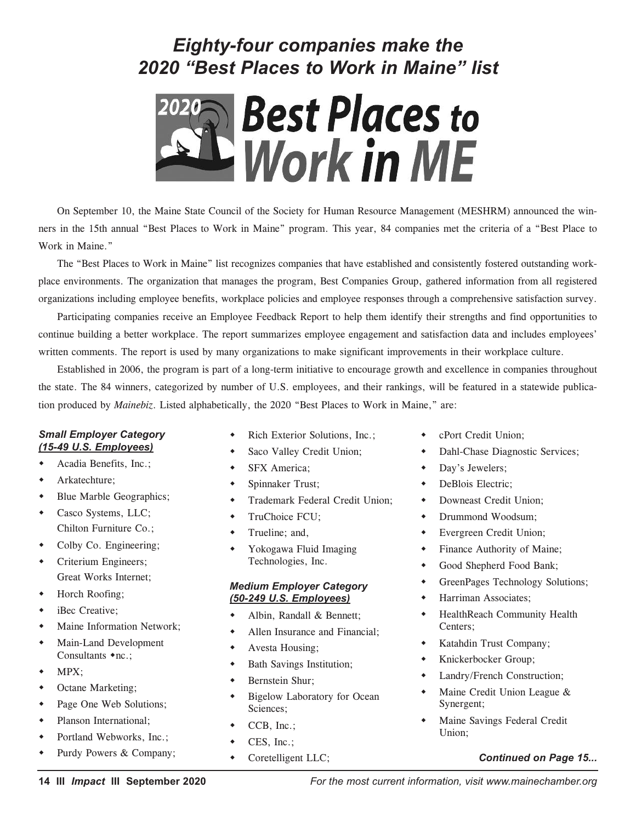## *Eighty-four companies make the 2020 "Best Places to Work in Maine" list*



On September 10, the Maine State Council of the Society for Human Resource Management (MESHRM) announced the winners in the 15th annual "Best Places to Work in Maine" program. This year, 84 companies met the criteria of a "Best Place to Work in Maine."

The "Best Places to Work in Maine" list recognizes companies that have established and consistently fostered outstanding workplace environments. The organization that manages the program, Best Companies Group, gathered information from all registered organizations including employee benefits, workplace policies and employee responses through a comprehensive satisfaction survey.

Participating companies receive an Employee Feedback Report to help them identify their strengths and find opportunities to continue building a better workplace. The report summarizes employee engagement and satisfaction data and includes employees' written comments. The report is used by many organizations to make significant improvements in their workplace culture.

Established in 2006, the program is part of a long-term initiative to encourage growth and excellence in companies throughout the state. The 84 winners, categorized by number of U.S. employees, and their rankings, will be featured in a statewide publication produced by *Mainebiz*. Listed alphabetically, the 2020 "Best Places to Work in Maine," are:

#### *Small Employer Category (15-49 U.S. Employees)*

- Acadia Benefits, Inc.;
- Arkatechture:
- Blue Marble Geographics;
- Casco Systems, LLC; Chilton Furniture Co.;
- Colby Co. Engineering;
- Criterium Engineers;
- Great Works Internet;
- Horch Roofing;
- iBec Creative;
- Maine Information Network;
- Main-Land Development Consultants  $\bullet$ nc.;
- $MPX$ :
- Octane Marketing;
- Page One Web Solutions;
- Planson International;
- Portland Webworks, Inc.;
- Purdy Powers & Company;
- Rich Exterior Solutions, Inc.;
- Saco Valley Credit Union;
- SFX America;
- $\bullet$  Spinnaker Trust;
- **\*** Trademark Federal Credit Union;
- $\bullet$  TruChoice FCU:
- Trueline; and,
- $\bullet$  Yokogawa Fluid Imaging Technologies, Inc.

#### *Medium Employer Category (50-249 U.S. Employees)*

- Albin, Randall & Bennett;
- Allen Insurance and Financial;
- $\triangleleft$  Avesta Housing;
- **\*** Bath Savings Institution;
- Bernstein Shur;
- **\*** Bigelow Laboratory for Ocean Sciences;
- $CCB$ , Inc.;
- $\leftarrow$  CES, Inc.;
- Coretelligent LLC;
- cPort Credit Union;
- Dahl-Chase Diagnostic Services;
- $\bullet$  Day's Jewelers;
- DeBlois Electric;
- Downeast Credit Union;
- Drummond Woodsum;
- Evergreen Credit Union;
- Finance Authority of Maine;
- **Good Shepherd Food Bank;**
- GreenPages Technology Solutions;
- $\leftarrow$  Harriman Associates;
- **\*** HealthReach Community Health Centers;
- w Katahdin Trust Company;
- Knickerbocker Group;
- Landry/French Construction;
- Maine Credit Union League  $\&$ Synergent;
- Maine Savings Federal Credit Union;

#### *Continued on Page 15...*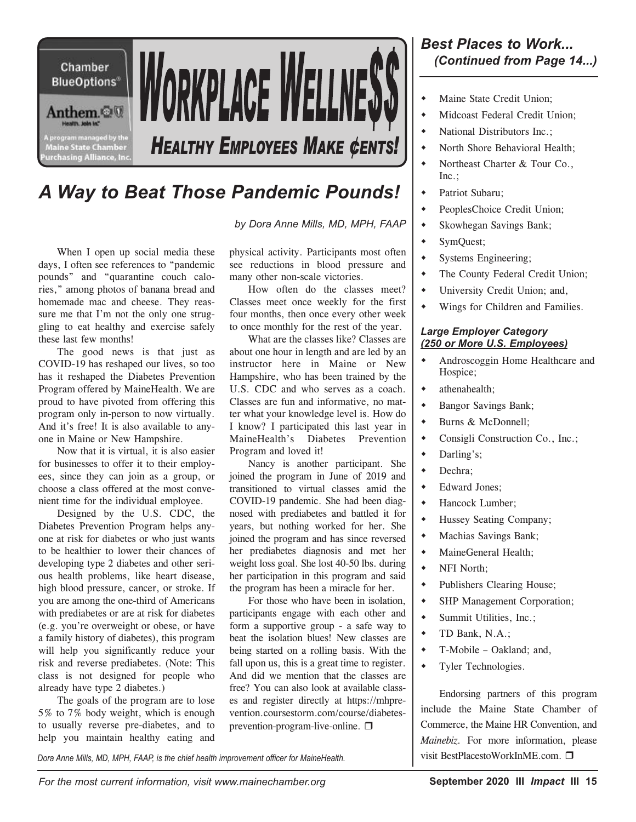

## *A Way to Beat Those Pandemic Pounds!*

When I open up social media these days, I often see references to "pandemic pounds" and "quarantine couch calories," among photos of banana bread and homemade mac and cheese. They reassure me that I'm not the only one struggling to eat healthy and exercise safely these last few months!

The good news is that just as COVID-19 has reshaped our lives, so too has it reshaped the Diabetes Prevention Program offered by MaineHealth. We are proud to have pivoted from offering this program only in-person to now virtually. And it's free! It is also available to anyone in Maine or New Hampshire.

Now that it is virtual, it is also easier for businesses to offer it to their employees, since they can join as a group, or choose a class offered at the most convenient time for the individual employee.

Designed by the U.S. CDC, the Diabetes Prevention Program helps anyone at risk for diabetes or who just wants to be healthier to lower their chances of developing type 2 diabetes and other serious health problems, like heart disease, high blood pressure, cancer, or stroke. If you are among the one-third of Americans with prediabetes or are at risk for diabetes (e.g. you're overweight or obese, or have a family history of diabetes), this program will help you significantly reduce your risk and reverse prediabetes. (Note: This class is not designed for people who already have type 2 diabetes.)

The goals of the program are to lose 5% to 7% body weight, which is enough to usually reverse pre-diabetes, and to help you maintain healthy eating and *by Dora Anne Mills, MD, MPH, FAAP*

physical activity. Participants most often see reductions in blood pressure and many other non-scale victories.

How often do the classes meet? Classes meet once weekly for the first four months, then once every other week to once monthly for the rest of the year.

What are the classes like? Classes are about one hour in length and are led by an instructor here in Maine or New Hampshire, who has been trained by the U.S. CDC and who serves as a coach. Classes are fun and informative, no matter what your knowledge level is. How do I know? I participated this last year in MaineHealth's Diabetes Prevention Program and loved it!

Nancy is another participant. She joined the program in June of 2019 and transitioned to virtual classes amid the COVID-19 pandemic. She had been diagnosed with prediabetes and battled it for years, but nothing worked for her. She joined the program and has since reversed her prediabetes diagnosis and met her weight loss goal. She lost 40-50 lbs. during her participation in this program and said the program has been a miracle for her.

For those who have been in isolation, participants engage with each other and form a supportive group - a safe way to beat the isolation blues! New classes are being started on a rolling basis. With the fall upon us, this is a great time to register. And did we mention that the classes are free? You can also look at available classes and register directly at https://mhprevention.coursestorm.com/course/diabetesprevention-program-live-online.  $\Box$ 

#### *Best Places to Work... (Continued from Page 14...)*

- Maine State Credit Union;
- $\bullet$  Midcoast Federal Credit Union;
- National Distributors Inc.;
- North Shore Behavioral Health;
- Northeast Charter & Tour Co., Inc.;
- + Patriot Subaru;
- PeoplesChoice Credit Union;
- Skowhegan Savings Bank;
- SymQuest;
- Systems Engineering;
- The County Federal Credit Union;
- University Credit Union; and,
- Wings for Children and Families.

#### *Large Employer Category (250 or More U.S. Employees)*

- Androscoggin Home Healthcare and Hospice;
- athenahealth;
- Bangor Savings Bank;
- Burns & McDonnell;
- Consigli Construction Co., Inc.;
- Darling's;
- Dechra:
- $\leftarrow$  Edward Jones:
- Hancock Lumber;
- Hussey Seating Company;
- Machias Savings Bank;
- MaineGeneral Health;
- NFI North:
- Publishers Clearing House;
- SHP Management Corporation;
- Summit Utilities, Inc.;
- TD Bank, N.A.;
- T-Mobile Oakland; and,
- $\bullet$  Tyler Technologies.

Endorsing partners of this program include the Maine State Chamber of Commerce, the Maine HR Convention, and *Mainebiz.* For more information, please visit BestPlacestoWorkInME.com. □

*Dora Anne Mills, MD, MPH, FAAP, is the chief health improvement officer for MaineHealth.*